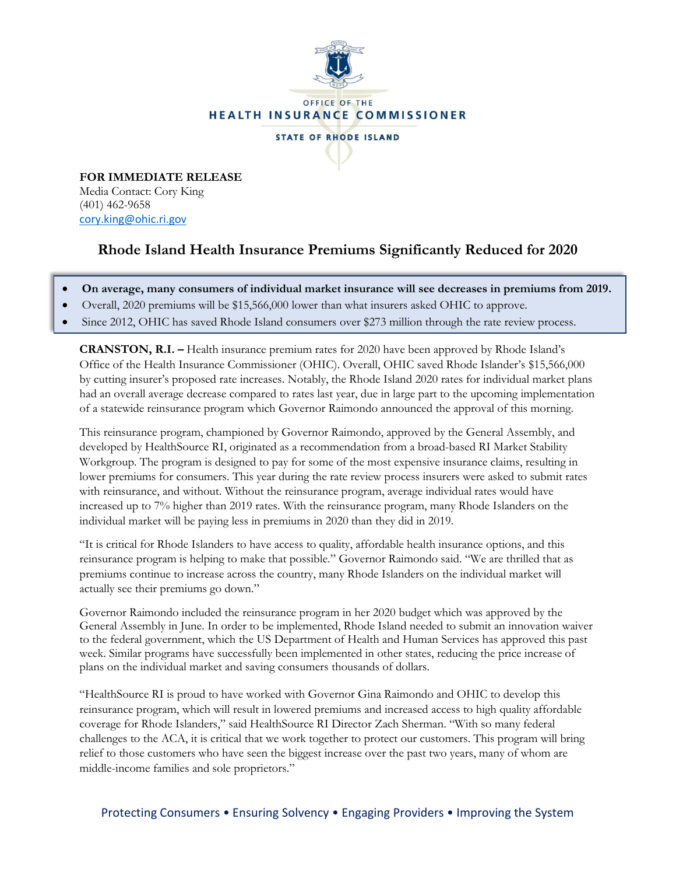

**FOR IMMEDIATE RELEASE** Media Contact: Cory King (401) 462-9658 [cory.king@ohic.ri.gov](mailto:cory.king@ohic.ri.gov)

## **Rhode Island Health Insurance Premiums Significantly Reduced for 2020**

- **On average, many consumers of individual market insurance will see decreases in premiums from 2019.**
- Overall, 2020 premiums will be \$15,566,000 lower than what insurers asked OHIC to approve.
- Since 2012, OHIC has saved Rhode Island consumers over \$273 million through the rate review process.

**CRANSTON, R.I. –** Health insurance premium rates for 2020 have been approved by Rhode Island's Office of the Health Insurance Commissioner (OHIC). Overall, OHIC saved Rhode Islander's \$15,566,000 by cutting insurer's proposed rate increases. Notably, the Rhode Island 2020 rates for individual market plans had an overall average decrease compared to rates last year, due in large part to the upcoming implementation of a statewide reinsurance program which Governor Raimondo announced the approval of this morning.

This reinsurance program, championed by Governor Raimondo, approved by the General Assembly, and developed by HealthSource RI, originated as a recommendation from a broad-based RI Market Stability Workgroup. The program is designed to pay for some of the most expensive insurance claims, resulting in lower premiums for consumers. This year during the rate review process insurers were asked to submit rates with reinsurance, and without. Without the reinsurance program, average individual rates would have increased up to 7% higher than 2019 rates. With the reinsurance program, many Rhode Islanders on the individual market will be paying less in premiums in 2020 than they did in 2019.

"It is critical for Rhode Islanders to have access to quality, affordable health insurance options, and this reinsurance program is helping to make that possible." Governor Raimondo said. "We are thrilled that as premiums continue to increase across the country, many Rhode Islanders on the individual market will actually see their premiums go down."

Governor Raimondo included the reinsurance program in her 2020 budget which was approved by the General Assembly in June. In order to be implemented, Rhode Island needed to submit an innovation waiver to the federal government, which the US Department of Health and Human Services has approved this past week. Similar programs have successfully been implemented in other states, reducing the price increase of plans on the individual market and saving consumers thousands of dollars.

"HealthSource RI is proud to have worked with Governor Gina Raimondo and OHIC to develop this reinsurance program, which will result in lowered premiums and increased access to high quality affordable coverage for Rhode Islanders," said HealthSource RI Director Zach Sherman. "With so many federal challenges to the ACA, it is critical that we work together to protect our customers. This program will bring relief to those customers who have seen the biggest increase over the past two years, many of whom are middle-income families and sole proprietors."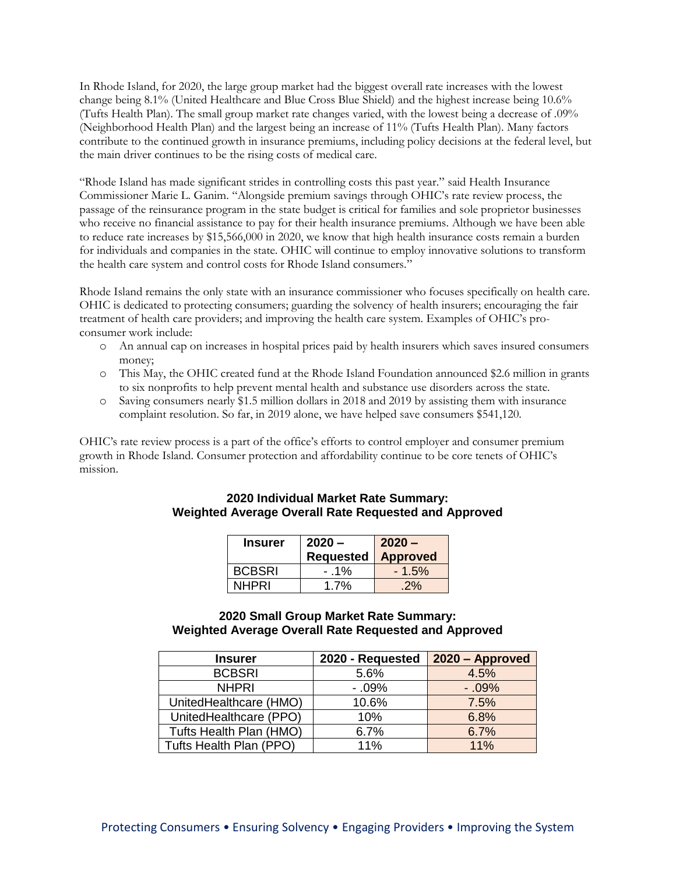In Rhode Island, for 2020, the large group market had the biggest overall rate increases with the lowest change being 8.1% (United Healthcare and Blue Cross Blue Shield) and the highest increase being 10.6% (Tufts Health Plan). The small group market rate changes varied, with the lowest being a decrease of .09% (Neighborhood Health Plan) and the largest being an increase of 11% (Tufts Health Plan). Many factors contribute to the continued growth in insurance premiums, including policy decisions at the federal level, but the main driver continues to be the rising costs of medical care.

"Rhode Island has made significant strides in controlling costs this past year." said Health Insurance Commissioner Marie L. Ganim. "Alongside premium savings through OHIC's rate review process, the passage of the reinsurance program in the state budget is critical for families and sole proprietor businesses who receive no financial assistance to pay for their health insurance premiums. Although we have been able to reduce rate increases by \$15,566,000 in 2020, we know that high health insurance costs remain a burden for individuals and companies in the state. OHIC will continue to employ innovative solutions to transform the health care system and control costs for Rhode Island consumers."

Rhode Island remains the only state with an insurance commissioner who focuses specifically on health care. OHIC is dedicated to protecting consumers; guarding the solvency of health insurers; encouraging the fair treatment of health care providers; and improving the health care system. Examples of OHIC's proconsumer work include:

- o An annual cap on increases in hospital prices paid by health insurers which saves insured consumers money;
- o This May, the OHIC created fund at the Rhode Island Foundation announced \$2.6 million in grants to six nonprofits to help prevent mental health and substance use disorders across the state.
- o Saving consumers nearly \$1.5 million dollars in 2018 and 2019 by assisting them with insurance complaint resolution. So far, in 2019 alone, we have helped save consumers \$541,120.

OHIC's rate review process is a part of the office's efforts to control employer and consumer premium growth in Rhode Island. Consumer protection and affordability continue to be core tenets of OHIC's mission.

## **2020 Individual Market Rate Summary: Weighted Average Overall Rate Requested and Approved**

| <b>Insurer</b> | $2020 -$                    | $2020 -$ |
|----------------|-----------------------------|----------|
|                | <b>Requested   Approved</b> |          |
| <b>BCBSRI</b>  | $-1\%$                      | $-1.5%$  |
| NHPRI          | 1.7%                        | 2%       |

## **2020 Small Group Market Rate Summary: Weighted Average Overall Rate Requested and Approved**

| <b>Insurer</b>          | 2020 - Requested | 2020 - Approved |
|-------------------------|------------------|-----------------|
| <b>BCBSRI</b>           | 5.6%             | 4.5%            |
| <b>NHPRI</b>            | $-0.9%$          | $-0.9%$         |
| UnitedHealthcare (HMO)  | 10.6%            | 7.5%            |
| UnitedHealthcare (PPO)  | 10%              | 6.8%            |
| Tufts Health Plan (HMO) | 6.7%             | 6.7%            |
| Tufts Health Plan (PPO) | 11%              | 11%             |